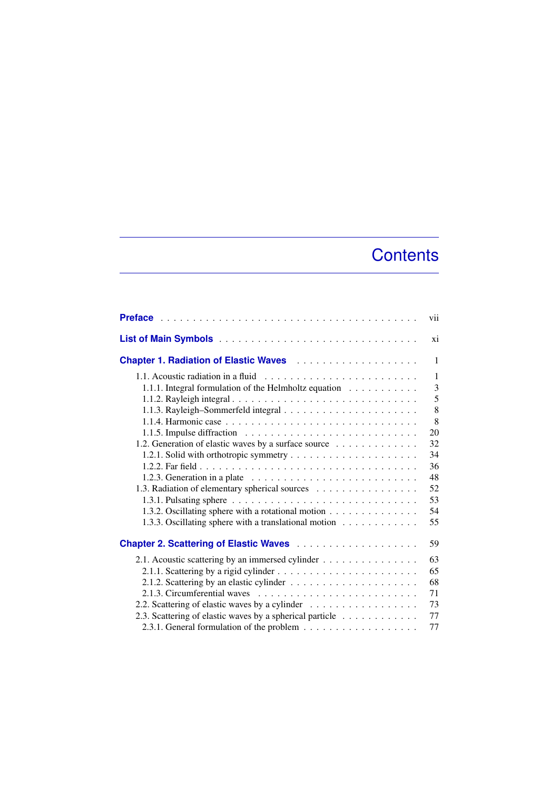## **Contents**

|                                                                                        | vii |
|----------------------------------------------------------------------------------------|-----|
|                                                                                        | xi  |
|                                                                                        | 1   |
|                                                                                        | 1   |
| 1.1.1. Integral formulation of the Helmholtz equation                                  | 3   |
|                                                                                        | 5   |
|                                                                                        | 8   |
|                                                                                        | 8   |
| 1.1.5. Impulse diffraction $\ldots \ldots \ldots \ldots \ldots \ldots \ldots \ldots$   | 20  |
| 1.2. Generation of elastic waves by a surface source                                   | 32  |
|                                                                                        | 34  |
|                                                                                        | 36  |
| 1.2.3. Generation in a plate $\ldots \ldots \ldots \ldots \ldots \ldots \ldots \ldots$ | 48  |
| 1.3. Radiation of elementary spherical sources                                         | 52  |
|                                                                                        | 53  |
| 1.3.2. Oscillating sphere with a rotational motion                                     | 54  |
| 1.3.3. Oscillating sphere with a translational motion                                  | 55  |
|                                                                                        | 59  |
| 2.1. Acoustic scattering by an immersed cylinder                                       | 63  |
|                                                                                        | 65  |
|                                                                                        | 68  |
|                                                                                        | 71  |
| 2.2. Scattering of elastic waves by a cylinder                                         | 73  |
| 2.3. Scattering of elastic waves by a spherical particle                               | 77  |
|                                                                                        | 77  |